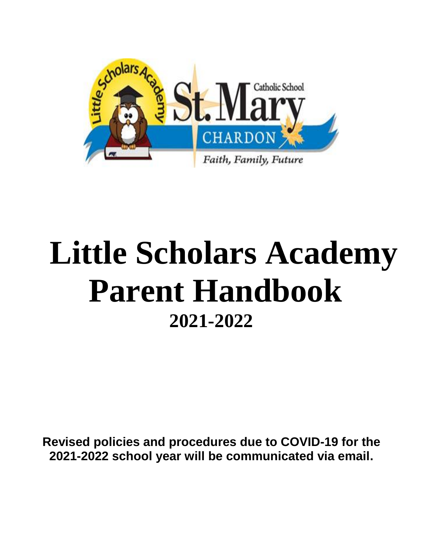

# **Little Scholars Academy Parent Handbook 2021-2022**

**Revised policies and procedures due to COVID-19 for the 2021-2022 school year will be communicated via email.**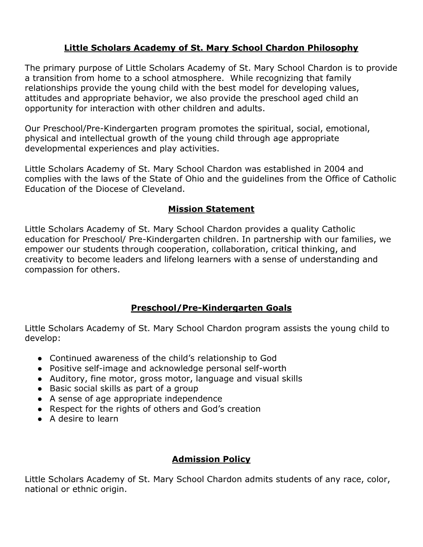# **Little Scholars Academy of St. Mary School Chardon Philosophy**

The primary purpose of Little Scholars Academy of St. Mary School Chardon is to provide a transition from home to a school atmosphere. While recognizing that family relationships provide the young child with the best model for developing values, attitudes and appropriate behavior, we also provide the preschool aged child an opportunity for interaction with other children and adults.

Our Preschool/Pre-Kindergarten program promotes the spiritual, social, emotional, physical and intellectual growth of the young child through age appropriate developmental experiences and play activities.

Little Scholars Academy of St. Mary School Chardon was established in 2004 and complies with the laws of the State of Ohio and the guidelines from the Office of Catholic Education of the Diocese of Cleveland.

#### **Mission Statement**

Little Scholars Academy of St. Mary School Chardon provides a quality Catholic education for Preschool/ Pre-Kindergarten children. In partnership with our families, we empower our students through cooperation, collaboration, critical thinking, and creativity to become leaders and lifelong learners with a sense of understanding and compassion for others.

## **Preschool/Pre-Kindergarten Goals**

Little Scholars Academy of St. Mary School Chardon program assists the young child to develop:

- Continued awareness of the child's relationship to God
- Positive self-image and acknowledge personal self-worth
- Auditory, fine motor, gross motor, language and visual skills
- Basic social skills as part of a group
- A sense of age appropriate independence
- Respect for the rights of others and God's creation
- A desire to learn

# **Admission Policy**

Little Scholars Academy of St. Mary School Chardon admits students of any race, color, national or ethnic origin.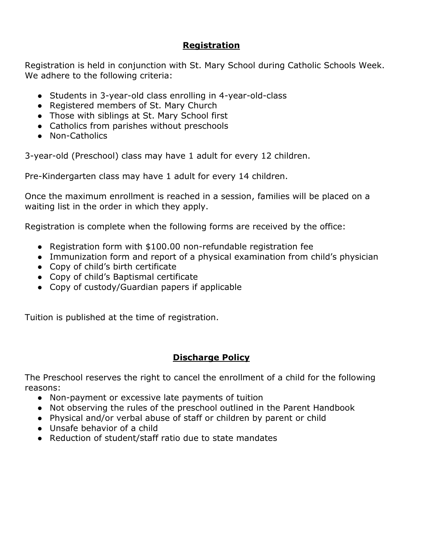## **Registration**

Registration is held in conjunction with St. Mary School during Catholic Schools Week. We adhere to the following criteria:

- Students in 3-year-old class enrolling in 4-year-old-class
- Registered members of St. Mary Church
- Those with siblings at St. Mary School first
- Catholics from parishes without preschools
- Non-Catholics

3-year-old (Preschool) class may have 1 adult for every 12 children.

Pre-Kindergarten class may have 1 adult for every 14 children.

Once the maximum enrollment is reached in a session, families will be placed on a waiting list in the order in which they apply.

Registration is complete when the following forms are received by the office:

- Registration form with \$100.00 non-refundable registration fee
- Immunization form and report of a physical examination from child's physician
- Copy of child's birth certificate
- Copy of child's Baptismal certificate
- Copy of custody/Guardian papers if applicable

Tuition is published at the time of registration.

# **Discharge Policy**

The Preschool reserves the right to cancel the enrollment of a child for the following reasons:

- Non-payment or excessive late payments of tuition
- Not observing the rules of the preschool outlined in the Parent Handbook
- Physical and/or verbal abuse of staff or children by parent or child
- Unsafe behavior of a child
- Reduction of student/staff ratio due to state mandates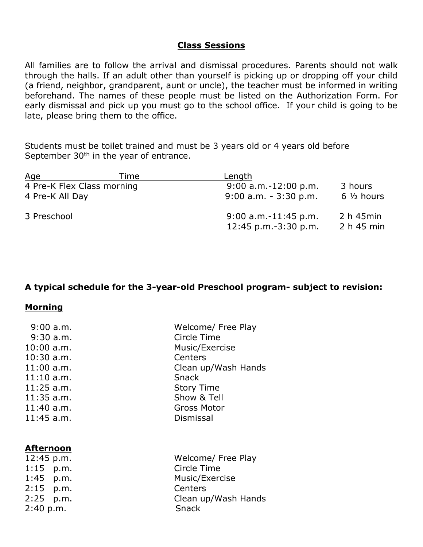#### **Class Sessions**

All families are to follow the arrival and dismissal procedures. Parents should not walk through the halls. If an adult other than yourself is picking up or dropping off your child (a friend, neighbor, grandparent, aunt or uncle), the teacher must be informed in writing beforehand. The names of these people must be listed on the Authorization Form. For early dismissal and pick up you must go to the school office. If your child is going to be late, please bring them to the office.

Students must be toilet trained and must be 3 years old or 4 years old before September  $30<sup>th</sup>$  in the year of entrance.

| <u>Age</u>      | Time                       | <u>Length</u>                                       |                          |
|-----------------|----------------------------|-----------------------------------------------------|--------------------------|
|                 | 4 Pre-K Flex Class morning | $9:00$ a.m.-12:00 p.m.                              | 3 hours                  |
| 4 Pre-K All Day |                            | $9:00$ a.m. $-3:30$ p.m.                            | $6\frac{1}{2}$ hours     |
| 3 Preschool     |                            | $9:00$ a.m.-11:45 p.m.<br>$12:45$ p.m. $-3:30$ p.m. | 2 h 45 min<br>2 h 45 min |

#### **A typical schedule for the 3-year-old Preschool program- subject to revision:**

#### **Morning**

| $9:00$ a.m.  | Welcome/ Free Play  |
|--------------|---------------------|
| $9:30$ a.m.  | Circle Time         |
| $10:00$ a.m. | Music/Exercise      |
| $10:30$ a.m. | Centers             |
| $11:00$ a.m. | Clean up/Wash Hands |
| $11:10$ a.m. | <b>Snack</b>        |
| $11:25$ a.m. | <b>Story Time</b>   |
| $11:35$ a.m. | Show & Tell         |
| $11:40$ a.m. | <b>Gross Motor</b>  |
| $11:45$ a.m. | Dismissal           |
|              |                     |
|              |                     |
| Afternoon    |                     |
| 12:45 p.m.   | Welcome/ Free Play  |
| $1:15$ p.m.  | Circle Time         |
| 1:45 p.m.    | Music/Exercise      |
| $2:15$ p.m.  | Centers             |
| 2:25 p.m.    | Clean up/Wash Hands |
| 2:40 p.m.    | Snack               |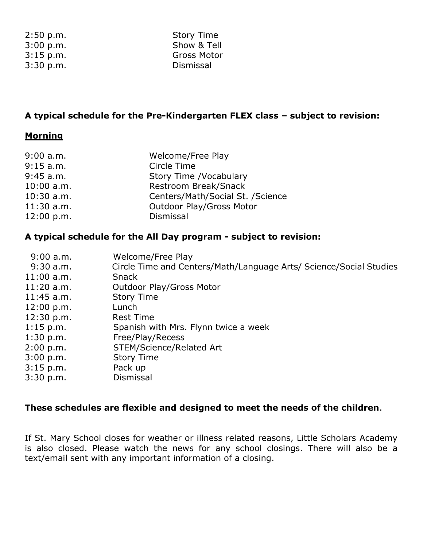| 2:50 p.m. |  |
|-----------|--|
| 3:00 p.m. |  |
| 3:15 p.m. |  |
| 3:30 p.m. |  |

Story Time Show & Tell Gross Motor p.m. Dismissal

## **A typical schedule for the Pre-Kindergarten FLEX class – subject to revision:**

#### **Morning**

| 9:00 a.m.    | Welcome/Free Play                |
|--------------|----------------------------------|
| 9:15 a.m.    | Circle Time                      |
| 9:45 a.m.    | Story Time /Vocabulary           |
| $10:00$ a.m. | Restroom Break/Snack             |
| $10:30$ a.m. | Centers/Math/Social St. /Science |
| $11:30$ a.m. | <b>Outdoor Play/Gross Motor</b>  |
| 12:00 p.m.   | Dismissal                        |

# **A typical schedule for the All Day program - subject to revision:**

| 9:00 a.m.    | Welcome/Free Play                                                  |
|--------------|--------------------------------------------------------------------|
| 9:30 a.m.    | Circle Time and Centers/Math/Language Arts/ Science/Social Studies |
| $11:00$ a.m. | <b>Snack</b>                                                       |
| $11:20$ a.m. | <b>Outdoor Play/Gross Motor</b>                                    |
| $11:45$ a.m. | <b>Story Time</b>                                                  |
| 12:00 p.m.   | Lunch                                                              |
| 12:30 p.m.   | <b>Rest Time</b>                                                   |
| $1:15$ p.m.  | Spanish with Mrs. Flynn twice a week                               |
| $1:30$ p.m.  | Free/Play/Recess                                                   |
| 2:00 p.m.    | STEM/Science/Related Art                                           |
| 3:00 p.m.    | <b>Story Time</b>                                                  |
| $3:15$ p.m.  | Pack up                                                            |
| 3:30 p.m.    | Dismissal                                                          |

#### **These schedules are flexible and designed to meet the needs of the children**.

If St. Mary School closes for weather or illness related reasons, Little Scholars Academy is also closed. Please watch the news for any school closings. There will also be a text/email sent with any important information of a closing.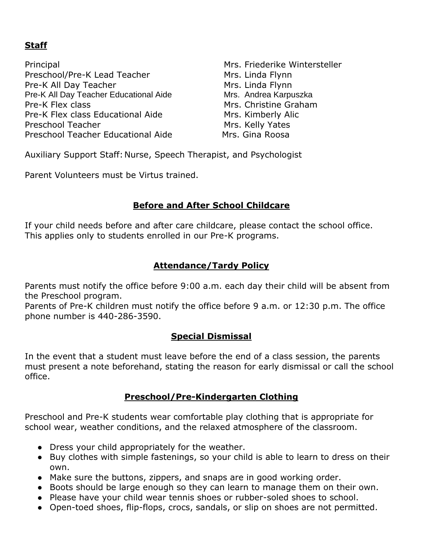# **Staff**

Principal Mrs. Friederike Wintersteller Preschool/Pre-K Lead Teacher Mrs. Linda Flynn Pre-K All Day Teacher Mrs. Linda Flynn Pre-K All Day Teacher Educational Aide Mrs. Andrea Karpuszka Pre-K Flex class Mrs. Christine Graham Pre-K Flex class Educational Aide Mrs. Kimberly Alic Preschool Teacher Mrs. Kelly Yates Preschool Teacher Educational Aide Mrs. Gina Roosa

Auxiliary Support Staff: Nurse, Speech Therapist, and Psychologist

Parent Volunteers must be Virtus trained.

# **Before and After School Childcare**

If your child needs before and after care childcare, please contact the school office. This applies only to students enrolled in our Pre-K programs.

# **Attendance/Tardy Policy**

Parents must notify the office before 9:00 a.m. each day their child will be absent from the Preschool program.

Parents of Pre-K children must notify the office before 9 a.m. or 12:30 p.m. The office phone number is 440-286-3590.

## **Special Dismissal**

In the event that a student must leave before the end of a class session, the parents must present a note beforehand, stating the reason for early dismissal or call the school office.

## **Preschool/Pre-Kindergarten Clothing**

Preschool and Pre-K students wear comfortable play clothing that is appropriate for school wear, weather conditions, and the relaxed atmosphere of the classroom.

- Dress your child appropriately for the weather.
- Buy clothes with simple fastenings, so your child is able to learn to dress on their own.
- Make sure the buttons, zippers, and snaps are in good working order.
- Boots should be large enough so they can learn to manage them on their own.
- Please have your child wear tennis shoes or rubber-soled shoes to school.
- Open-toed shoes, flip-flops, crocs, sandals, or slip on shoes are not permitted.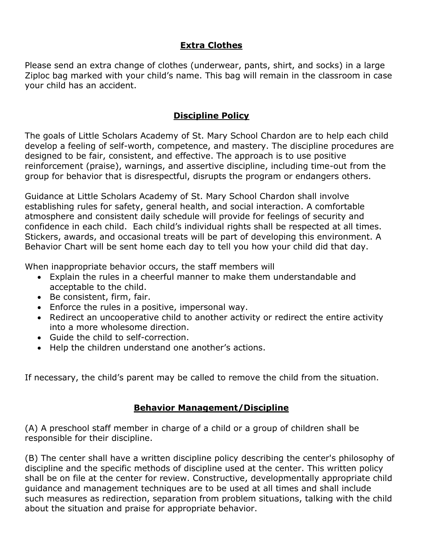# **Extra Clothes**

Please send an extra change of clothes (underwear, pants, shirt, and socks) in a large Ziploc bag marked with your child's name. This bag will remain in the classroom in case your child has an accident.

## **Discipline Policy**

The goals of Little Scholars Academy of St. Mary School Chardon are to help each child develop a feeling of self-worth, competence, and mastery. The discipline procedures are designed to be fair, consistent, and effective. The approach is to use positive reinforcement (praise), warnings, and assertive discipline, including time-out from the group for behavior that is disrespectful, disrupts the program or endangers others.

Guidance at Little Scholars Academy of St. Mary School Chardon shall involve establishing rules for safety, general health, and social interaction. A comfortable atmosphere and consistent daily schedule will provide for feelings of security and confidence in each child. Each child's individual rights shall be respected at all times. Stickers, awards, and occasional treats will be part of developing this environment. A Behavior Chart will be sent home each day to tell you how your child did that day.

When inappropriate behavior occurs, the staff members will

- Explain the rules in a cheerful manner to make them understandable and acceptable to the child.
- Be consistent, firm, fair.
- Enforce the rules in a positive, impersonal way.
- Redirect an uncooperative child to another activity or redirect the entire activity into a more wholesome direction.
- Guide the child to self-correction.
- Help the children understand one another's actions.

If necessary, the child's parent may be called to remove the child from the situation.

## **Behavior Management/Discipline**

(A) A preschool staff member in charge of a child or a group of children shall be responsible for their discipline.

(B) The center shall have a written discipline policy describing the center's philosophy of discipline and the specific methods of discipline used at the center. This written policy shall be on file at the center for review. Constructive, developmentally appropriate child guidance and management techniques are to be used at all times and shall include such measures as redirection, separation from problem situations, talking with the child about the situation and praise for appropriate behavior.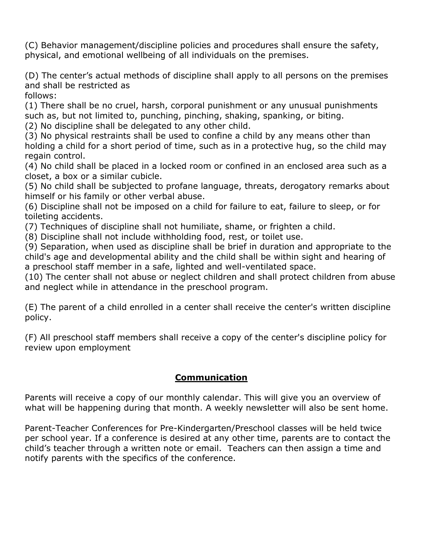(C) Behavior management/discipline policies and procedures shall ensure the safety, physical, and emotional wellbeing of all individuals on the premises.

(D) The center's actual methods of discipline shall apply to all persons on the premises and shall be restricted as

follows:

(1) There shall be no cruel, harsh, corporal punishment or any unusual punishments such as, but not limited to, punching, pinching, shaking, spanking, or biting.

(2) No discipline shall be delegated to any other child.

(3) No physical restraints shall be used to confine a child by any means other than holding a child for a short period of time, such as in a protective hug, so the child may regain control.

(4) No child shall be placed in a locked room or confined in an enclosed area such as a closet, a box or a similar cubicle.

(5) No child shall be subjected to profane language, threats, derogatory remarks about himself or his family or other verbal abuse.

(6) Discipline shall not be imposed on a child for failure to eat, failure to sleep, or for toileting accidents.

(7) Techniques of discipline shall not humiliate, shame, or frighten a child.

(8) Discipline shall not include withholding food, rest, or toilet use.

(9) Separation, when used as discipline shall be brief in duration and appropriate to the child's age and developmental ability and the child shall be within sight and hearing of a preschool staff member in a safe, lighted and well-ventilated space.

(10) The center shall not abuse or neglect children and shall protect children from abuse and neglect while in attendance in the preschool program.

(E) The parent of a child enrolled in a center shall receive the center's written discipline policy.

(F) All preschool staff members shall receive a copy of the center's discipline policy for review upon employment

# **Communication**

Parents will receive a copy of our monthly calendar. This will give you an overview of what will be happening during that month. A weekly newsletter will also be sent home.

Parent-Teacher Conferences for Pre-Kindergarten/Preschool classes will be held twice per school year. If a conference is desired at any other time, parents are to contact the child's teacher through a written note or email. Teachers can then assign a time and notify parents with the specifics of the conference.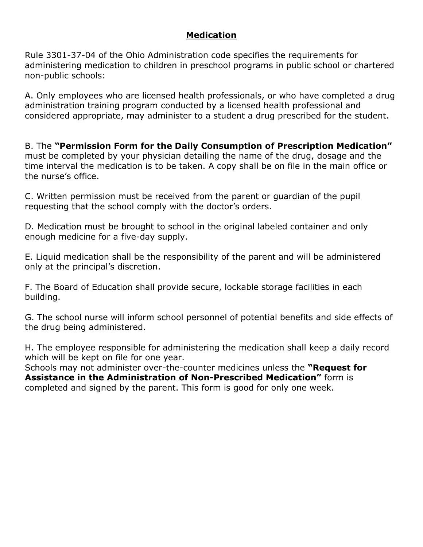# **Medication**

Rule 3301-37-04 of the Ohio Administration code specifies the requirements for administering medication to children in preschool programs in public school or chartered non-public schools:

A. Only employees who are licensed health professionals, or who have completed a drug administration training program conducted by a licensed health professional and considered appropriate, may administer to a student a drug prescribed for the student.

B. The **"Permission Form for the Daily Consumption of Prescription Medication"**  must be completed by your physician detailing the name of the drug, dosage and the time interval the medication is to be taken. A copy shall be on file in the main office or the nurse's office.

C. Written permission must be received from the parent or guardian of the pupil requesting that the school comply with the doctor's orders.

D. Medication must be brought to school in the original labeled container and only enough medicine for a five-day supply.

E. Liquid medication shall be the responsibility of the parent and will be administered only at the principal's discretion.

F. The Board of Education shall provide secure, lockable storage facilities in each building.

G. The school nurse will inform school personnel of potential benefits and side effects of the drug being administered.

H. The employee responsible for administering the medication shall keep a daily record which will be kept on file for one year.

Schools may not administer over-the-counter medicines unless the **"Request for Assistance in the Administration of Non-Prescribed Medication"** form is completed and signed by the parent. This form is good for only one week.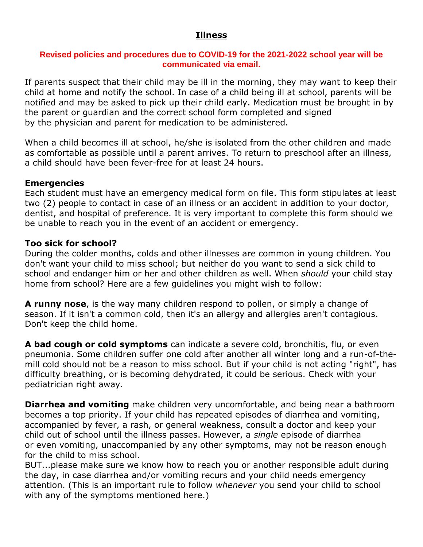#### **Illness**

#### **Revised policies and procedures due to COVID-19 for the 2021-2022 school year will be communicated via email.**

If parents suspect that their child may be ill in the morning, they may want to keep their child at home and notify the school. In case of a child being ill at school, parents will be notified and may be asked to pick up their child early. Medication must be brought in by the parent or guardian and the correct school form completed and signed by the physician and parent for medication to be administered.

When a child becomes ill at school, he/she is isolated from the other children and made as comfortable as possible until a parent arrives. To return to preschool after an illness, a child should have been fever-free for at least 24 hours.

#### **Emergencies**

Each student must have an emergency medical form on file. This form stipulates at least two (2) people to contact in case of an illness or an accident in addition to your doctor, dentist, and hospital of preference. It is very important to complete this form should we be unable to reach you in the event of an accident or emergency.

#### **Too sick for school?**

During the colder months, colds and other illnesses are common in young children. You don't want your child to miss school; but neither do you want to send a sick child to school and endanger him or her and other children as well. When *should* your child stay home from school? Here are a few guidelines you might wish to follow:

**A runny nose**, is the way many children respond to pollen, or simply a change of season. If it isn't a common cold, then it's an allergy and allergies aren't contagious. Don't keep the child home.

**A bad cough or cold symptoms** can indicate a severe cold, bronchitis, flu, or even pneumonia. Some children suffer one cold after another all winter long and a run-of-themill cold should not be a reason to miss school. But if your child is not acting "right", has difficulty breathing, or is becoming dehydrated, it could be serious. Check with your pediatrician right away.

**Diarrhea and vomiting** make children very uncomfortable, and being near a bathroom becomes a top priority. If your child has repeated episodes of diarrhea and vomiting, accompanied by fever, a rash, or general weakness, consult a doctor and keep your child out of school until the illness passes. However, a *single* episode of diarrhea or even vomiting, unaccompanied by any other symptoms, may not be reason enough for the child to miss school.

BUT...please make sure we know how to reach you or another responsible adult during the day, in case diarrhea and/or vomiting recurs and your child needs emergency attention. (This is an important rule to follow *whenever* you send your child to school with any of the symptoms mentioned here.)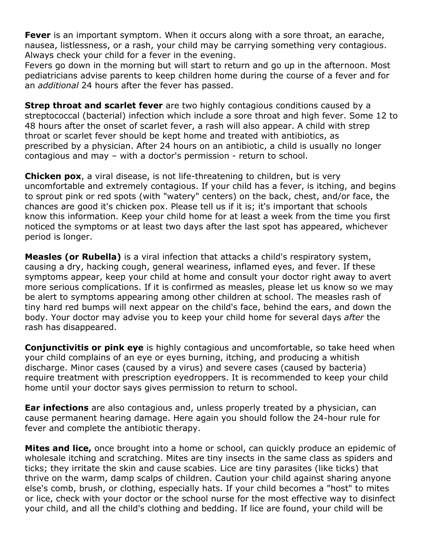**Fever** is an important symptom. When it occurs along with a sore throat, an earache, nausea, listlessness, or a rash, your child may be carrying something very contagious. Always check your child for a fever in the evening.

Fevers go down in the morning but will start to return and go up in the afternoon. Most pediatricians advise parents to keep children home during the course of a fever and for an *additional* 24 hours after the fever has passed.

**Strep throat and scarlet fever** are two highly contagious conditions caused by a streptococcal (bacterial) infection which include a sore throat and high fever. Some 12 to 48 hours after the onset of scarlet fever, a rash will also appear. A child with strep throat or scarlet fever should be kept home and treated with antibiotics, as prescribed by a physician. After 24 hours on an antibiotic, a child is usually no longer contagious and may – with a doctor's permission - return to school.

**Chicken pox**, a viral disease, is not life-threatening to children, but is very uncomfortable and extremely contagious. If your child has a fever, is itching, and begins to sprout pink or red spots (with "watery" centers) on the back, chest, and/or face, the chances are good it's chicken pox. Please tell us if it is; it's important that schools know this information. Keep your child home for at least a week from the time you first noticed the symptoms or at least two days after the last spot has appeared, whichever period is longer.

**Measles (or Rubella)** is a viral infection that attacks a child's respiratory system, causing a dry, hacking cough, general weariness, inflamed eyes, and fever. If these symptoms appear, keep your child at home and consult your doctor right away to avert more serious complications. If it is confirmed as measles, please let us know so we may be alert to symptoms appearing among other children at school. The measles rash of tiny hard red bumps will next appear on the child's face, behind the ears, and down the body. Your doctor may advise you to keep your child home for several days *after* the rash has disappeared.

**Conjunctivitis or pink eye** is highly contagious and uncomfortable, so take heed when your child complains of an eye or eyes burning, itching, and producing a whitish discharge. Minor cases (caused by a virus) and severe cases (caused by bacteria) require treatment with prescription eyedroppers. It is recommended to keep your child home until your doctor says gives permission to return to school.

**Ear infections** are also contagious and, unless properly treated by a physician, can cause permanent hearing damage. Here again you should follow the 24-hour rule for fever and complete the antibiotic therapy.

**Mites and lice,** once brought into a home or school, can quickly produce an epidemic of wholesale itching and scratching. Mites are tiny insects in the same class as spiders and ticks; they irritate the skin and cause scabies. Lice are tiny parasites (like ticks) that thrive on the warm, damp scalps of children. Caution your child against sharing anyone else's comb, brush, or clothing, especially hats. If your child becomes a "host" to mites or lice, check with your doctor or the school nurse for the most effective way to disinfect your child, and all the child's clothing and bedding. If lice are found, your child will be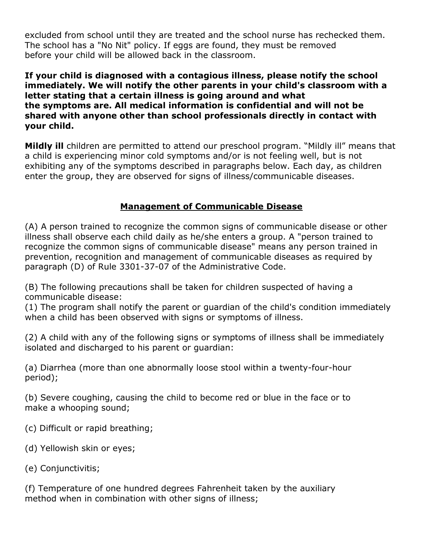excluded from school until they are treated and the school nurse has rechecked them. The school has a "No Nit" policy. If eggs are found, they must be removed before your child will be allowed back in the classroom.

**If your child is diagnosed with a contagious illness, please notify the school immediately. We will notify the other parents in your child's classroom with a letter stating that a certain illness is going around and what the symptoms are. All medical information is confidential and will not be shared with anyone other than school professionals directly in contact with your child.**

**Mildly ill** children are permitted to attend our preschool program. "Mildly ill" means that a child is experiencing minor cold symptoms and/or is not feeling well, but is not exhibiting any of the symptoms described in paragraphs below. Each day, as children enter the group, they are observed for signs of illness/communicable diseases.

# **Management of Communicable Disease**

(A) A person trained to recognize the common signs of communicable disease or other illness shall observe each child daily as he/she enters a group. A "person trained to recognize the common signs of communicable disease" means any person trained in prevention, recognition and management of communicable diseases as required by paragraph (D) of Rule 3301-37-07 of the Administrative Code.

(B) The following precautions shall be taken for children suspected of having a communicable disease:

(1) The program shall notify the parent or guardian of the child's condition immediately when a child has been observed with signs or symptoms of illness.

(2) A child with any of the following signs or symptoms of illness shall be immediately isolated and discharged to his parent or guardian:

(a) Diarrhea (more than one abnormally loose stool within a twenty-four-hour period);

(b) Severe coughing, causing the child to become red or blue in the face or to make a whooping sound;

- (c) Difficult or rapid breathing;
- (d) Yellowish skin or eyes;
- (e) Conjunctivitis;

(f) Temperature of one hundred degrees Fahrenheit taken by the auxiliary method when in combination with other signs of illness;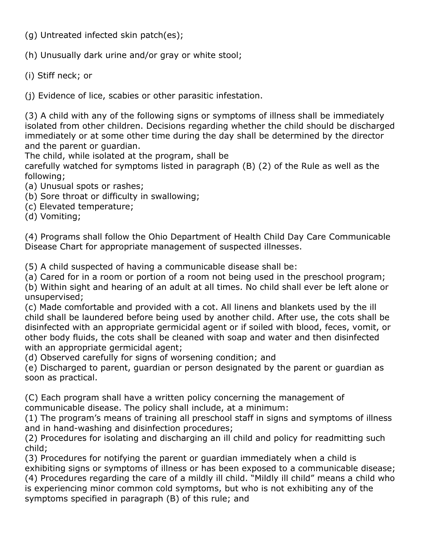(g) Untreated infected skin patch(es);

(h) Unusually dark urine and/or gray or white stool;

(i) Stiff neck; or

(j) Evidence of lice, scabies or other parasitic infestation.

(3) A child with any of the following signs or symptoms of illness shall be immediately isolated from other children. Decisions regarding whether the child should be discharged immediately or at some other time during the day shall be determined by the director and the parent or guardian.

The child, while isolated at the program, shall be

carefully watched for symptoms listed in paragraph (B) (2) of the Rule as well as the following;

- (a) Unusual spots or rashes;
- (b) Sore throat or difficulty in swallowing;
- (c) Elevated temperature;

(d) Vomiting;

(4) Programs shall follow the Ohio Department of Health Child Day Care Communicable Disease Chart for appropriate management of suspected illnesses.

(5) A child suspected of having a communicable disease shall be:

(a) Cared for in a room or portion of a room not being used in the preschool program;

(b) Within sight and hearing of an adult at all times. No child shall ever be left alone or unsupervised;

(c) Made comfortable and provided with a cot. All linens and blankets used by the ill child shall be laundered before being used by another child. After use, the cots shall be disinfected with an appropriate germicidal agent or if soiled with blood, feces, vomit, or other body fluids, the cots shall be cleaned with soap and water and then disinfected with an appropriate germicidal agent;

(d) Observed carefully for signs of worsening condition; and

(e) Discharged to parent, guardian or person designated by the parent or guardian as soon as practical.

(C) Each program shall have a written policy concerning the management of communicable disease. The policy shall include, at a minimum:

(1) The program's means of training all preschool staff in signs and symptoms of illness and in hand-washing and disinfection procedures;

(2) Procedures for isolating and discharging an ill child and policy for readmitting such child;

(3) Procedures for notifying the parent or guardian immediately when a child is exhibiting signs or symptoms of illness or has been exposed to a communicable disease;

(4) Procedures regarding the care of a mildly ill child. "Mildly ill child" means a child who is experiencing minor common cold symptoms, but who is not exhibiting any of the symptoms specified in paragraph (B) of this rule; and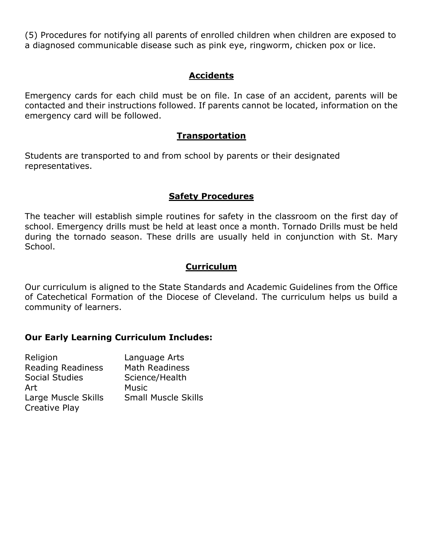(5) Procedures for notifying all parents of enrolled children when children are exposed to a diagnosed communicable disease such as pink eye, ringworm, chicken pox or lice.

## **Accidents**

Emergency cards for each child must be on file. In case of an accident, parents will be contacted and their instructions followed. If parents cannot be located, information on the emergency card will be followed.

#### **Transportation**

Students are transported to and from school by parents or their designated representatives.

## **Safety Procedures**

The teacher will establish simple routines for safety in the classroom on the first day of school. Emergency drills must be held at least once a month. Tornado Drills must be held during the tornado season. These drills are usually held in conjunction with St. Mary School.

## **Curriculum**

Our curriculum is aligned to the State Standards and Academic Guidelines from the Office of Catechetical Formation of the Diocese of Cleveland. The curriculum helps us build a community of learners.

## **Our Early Learning Curriculum Includes:**

| Religion                 | Language Arts              |
|--------------------------|----------------------------|
| <b>Reading Readiness</b> | <b>Math Readiness</b>      |
| <b>Social Studies</b>    | Science/Health             |
| Art                      | <b>Music</b>               |
| Large Muscle Skills      | <b>Small Muscle Skills</b> |
| Creative Play            |                            |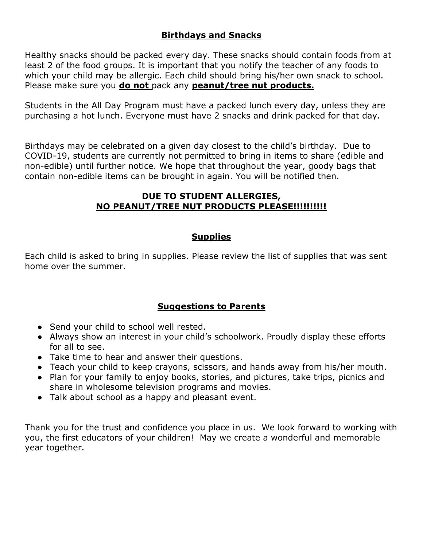# **Birthdays and Snacks**

Healthy snacks should be packed every day. These snacks should contain foods from at least 2 of the food groups. It is important that you notify the teacher of any foods to which your child may be allergic. Each child should bring his/her own snack to school. Please make sure you **do not** pack any **peanut/tree nut products.**

Students in the All Day Program must have a packed lunch every day, unless they are purchasing a hot lunch. Everyone must have 2 snacks and drink packed for that day.

Birthdays may be celebrated on a given day closest to the child's birthday. Due to COVID-19, students are currently not permitted to bring in items to share (edible and non-edible) until further notice. We hope that throughout the year, goody bags that contain non-edible items can be brought in again. You will be notified then.

#### **DUE TO STUDENT ALLERGIES, NO PEANUT/TREE NUT PRODUCTS PLEASE!!!!!!!!!!**

#### **Supplies**

Each child is asked to bring in supplies. Please review the list of supplies that was sent home over the summer.

## **Suggestions to Parents**

- Send your child to school well rested.
- Always show an interest in your child's schoolwork. Proudly display these efforts for all to see.
- Take time to hear and answer their questions.
- Teach your child to keep crayons, scissors, and hands away from his/her mouth.
- Plan for your family to enjoy books, stories, and pictures, take trips, picnics and share in wholesome television programs and movies.
- Talk about school as a happy and pleasant event.

Thank you for the trust and confidence you place in us. We look forward to working with you, the first educators of your children! May we create a wonderful and memorable year together.